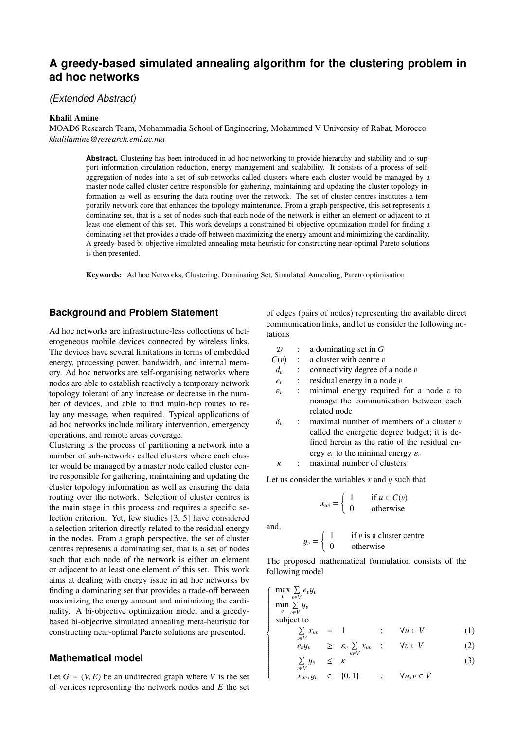# **A greedy-based simulated annealing algorithm for the clustering problem in ad hoc networks**

## (Extended Abstract)

#### Khalil Amine

MOAD6 Research Team, Mohammadia School of Engineering, Mohammed V University of Rabat, Morocco *khalilamine@research.emi.ac.ma*

**Abstract.** Clustering has been introduced in ad hoc networking to provide hierarchy and stability and to support information circulation reduction, energy management and scalability. It consists of a process of selfaggregation of nodes into a set of sub-networks called clusters where each cluster would be managed by a master node called cluster centre responsible for gathering, maintaining and updating the cluster topology information as well as ensuring the data routing over the network. The set of cluster centres institutes a temporarily network core that enhances the topology maintenance. From a graph perspective, this set represents a dominating set, that is a set of nodes such that each node of the network is either an element or adjacent to at least one element of this set. This work develops a constrained bi-objective optimization model for finding a dominating set that provides a trade-off between maximizing the energy amount and minimizing the cardinality. A greedy-based bi-objective simulated annealing meta-heuristic for constructing near-optimal Pareto solutions is then presented.

Keywords: Ad hoc Networks, Clustering, Dominating Set, Simulated Annealing, Pareto optimisation

#### **Background and Problem Statement**

Ad hoc networks are infrastructure-less collections of heterogeneous mobile devices connected by wireless links. The devices have several limitations in terms of embedded energy, processing power, bandwidth, and internal memory. Ad hoc networks are self-organising networks where nodes are able to establish reactively a temporary network topology tolerant of any increase or decrease in the number of devices, and able to find multi-hop routes to relay any message, when required. Typical applications of ad hoc networks include military intervention, emergency operations, and remote areas coverage.

Clustering is the process of partitioning a network into a number of sub-networks called clusters where each cluster would be managed by a master node called cluster centre responsible for gathering, maintaining and updating the cluster topology information as well as ensuring the data routing over the network. Selection of cluster centres is the main stage in this process and requires a specific selection criterion. Yet, few studies [3, 5] have considered a selection criterion directly related to the residual energy in the nodes. From a graph perspective, the set of cluster centres represents a dominating set, that is a set of nodes such that each node of the network is either an element or adjacent to at least one element of this set. This work aims at dealing with energy issue in ad hoc networks by finding a dominating set that provides a trade-off between maximizing the energy amount and minimizing the cardinality. A bi-objective optimization model and a greedybased bi-objective simulated annealing meta-heuristic for constructing near-optimal Pareto solutions are presented.

## **Mathematical model**

Let  $G = (V, E)$  be an undirected graph where *V* is the set of vertices representing the network nodes and *E* the set of edges (pairs of nodes) representing the available direct communication links, and let us consider the following notations

- *D* : a dominating set in *G*
- $C(v)$  : a cluster with centre v<br>  $d_v$  : connectivity degree of
- $d_{v}$ : connectivity degree of a node  $v$ <br>: residual energy in a node  $v$
- $e_v$ <br> $\varepsilon_v$ : residual energy in a node  $v$ <br>: minimal energy required
- εv minimal energy required for a node  $v$  to manage the communication between each related node
- $\delta_v$ maximal number of members of a cluster  $v$ called the energetic degree budget; it is defined herein as the ratio of the residual energy  $e_v$  to the minimal energy  $\varepsilon_v$ <br>maximal number of clusters

 $\kappa$  : maximal number of clusters

Let us consider the variables  $x$  and  $y$  such that

$$
x_{uv} = \begin{cases} 1 & \text{if } u \in C(v) \\ 0 & \text{otherwise} \end{cases}
$$

and,

 $\sqrt{ }$ 

 $\begin{array}{c} \hline \end{array}$ 

$$
y_v = \begin{cases} 1 & \text{if } v \text{ is a cluster centre} \\ 0 & \text{otherwise} \end{cases}
$$

The proposed mathematical formulation consists of the following model

$$
\max_{v} \sum_{v \in V} e_v y_v
$$
  
\n
$$
\min_{v} \sum_{v \in V} y_v
$$
  
\nsubject to  
\n
$$
\sum_{v} x_{v} = 1
$$

$$
\sum_{v \in V} x_{uv} = 1 \qquad ; \qquad \forall u \in V \tag{1}
$$

$$
e_v y_v \quad \geq \quad \varepsilon_v \sum_{u \in V} x_{uv} \quad ; \qquad \forall v \in V \tag{2}
$$

$$
\sum_{v \in V} y_v \le \kappa \tag{3}
$$

$$
x_{uv}, y_v \in \{0, 1\} \qquad ; \qquad \forall u, v \in V
$$